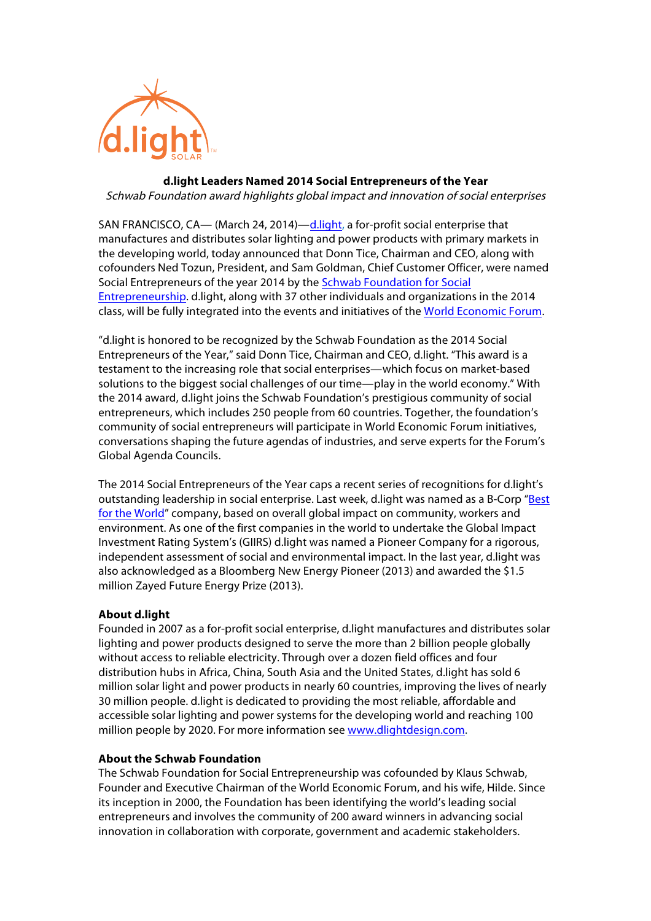

# **d.light Leaders Named 2014 Social Entrepreneurs of the Year**  Schwab Foundation award highlights global impact and innovation of social enterprises

SAN FRANCISCO, CA— (March 24, 2014)—d.light, a for-profit social enterprise that manufactures and distributes solar lighting and power products with primary markets in the developing world, today announced that Donn Tice, Chairman and CEO, along with cofounders Ned Tozun, President, and Sam Goldman, Chief Customer Officer, were named Social Entrepreneurs of the year 2014 by the Schwab Foundation for Social Entrepreneurship. d.light, along with 37 other individuals and organizations in the 2014 class, will be fully integrated into the events and initiatives of the World Economic Forum.

"d.light is honored to be recognized by the Schwab Foundation as the 2014 Social Entrepreneurs of the Year," said Donn Tice, Chairman and CEO, d.light. "This award is a testament to the increasing role that social enterprises—which focus on market-based solutions to the biggest social challenges of our time—play in the world economy." With the 2014 award, d.light joins the Schwab Foundation's prestigious community of social entrepreneurs, which includes 250 people from 60 countries. Together, the foundation's community of social entrepreneurs will participate in World Economic Forum initiatives, conversations shaping the future agendas of industries, and serve experts for the Forum's Global Agenda Councils.

The 2014 Social Entrepreneurs of the Year caps a recent series of recognitions for d.light's outstanding leadership in social enterprise. Last week, d.light was named as a B-Corp "Best for the World" company, based on overall global impact on community, workers and environment. As one of the first companies in the world to undertake the Global Impact Investment Rating System's (GIIRS) d.light was named a Pioneer Company for a rigorous, independent assessment of social and environmental impact. In the last year, d.light was also acknowledged as a Bloomberg New Energy Pioneer (2013) and awarded the \$1.5 million Zayed Future Energy Prize (2013).

## **About d.light**

Founded in 2007 as a for-profit social enterprise, d.light manufactures and distributes solar lighting and power products designed to serve the more than 2 billion people globally without access to reliable electricity. Through over a dozen field offices and four distribution hubs in Africa, China, South Asia and the United States, d.light has sold 6 million solar light and power products in nearly 60 countries, improving the lives of nearly 30 million people. d.light is dedicated to providing the most reliable, affordable and accessible solar lighting and power systems for the developing world and reaching 100 million people by 2020. For more information see www.dlightdesign.com.

#### **About the Schwab Foundation**

The Schwab Foundation for Social Entrepreneurship was cofounded by Klaus Schwab, Founder and Executive Chairman of the World Economic Forum, and his wife, Hilde. Since its inception in 2000, the Foundation has been identifying the world's leading social entrepreneurs and involves the community of 200 award winners in advancing social innovation in collaboration with corporate, government and academic stakeholders.